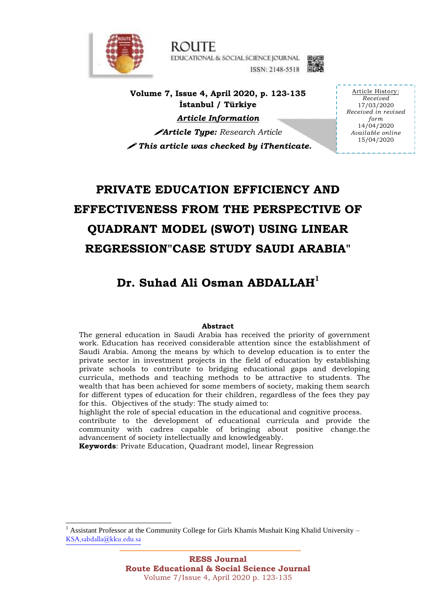

**ROUTE** EDUCATIONAL & SOCIAL SCIENCE JOURNAL ISSN: 2148-5518



**Volume 7, Issue 4, April 2020, p. 123-135 İstanbul / Türkiye**

*Article Information*

*Article Type: Research Article This article was checked by iThenticate.* 

Article History: *Received* 17/03/2020 *Received in revised form* 14/04/2020 *Available online* 15/04/2020

# **PRIVATE EDUCATION EFFICIENCY AND EFFECTIVENESS FROM THE PERSPECTIVE OF QUADRANT MODEL (SWOT) USING LINEAR REGRESSION"CASE STUDY SAUDI ARABIA"**

## **Dr. Suhad Ali Osman ABDALLAH<sup>1</sup>**

#### **Abstract**

The general education in Saudi Arabia has received the priority of government work. Education has received considerable attention since the establishment of Saudi Arabia. Among the means by which to develop education is to enter the private sector in investment projects in the field of education by establishing private schools to contribute to bridging educational gaps and developing curricula, methods and teaching methods to be attractive to students. The wealth that has been achieved for some members of society, making them search for different types of education for their children, regardless of the fees they pay for this. Objectives of the study: The study aimed to:

highlight the role of special education in the educational and cognitive process.

contribute to the development of educational curricula and provide the community with cadres capable of bringing about positive change.the advancement of society intellectually and knowledgeably.

**Keywords**: Private Education, Quadrant model, linear Regression

1

<sup>1</sup> Assistant Professor at the Community College for Girls Khamis Mushait King Khalid University – KSA,sabdalla@kku.edu.sa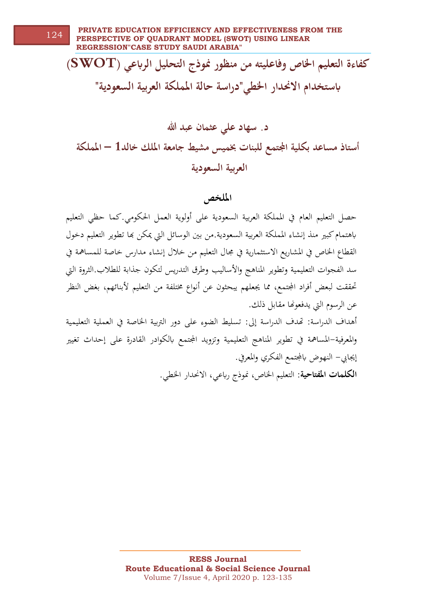**كفاءة التعليم اخلاص وفاعليته من منظور منوذج التحليل الرابعي )SWOT ) ابستخدام االحندار اخلطي"دراسة حالة اململكة العربية السعودية"**

**د. سهاد علي عثمان عبد هللا أستاذ مساعد بكلية اجملتمع للبنات خبميس مشيط جامعة امللك خالد1 – اململكة العربية السعودية**

**امللخص**

حصل التعليم العام يف ادلملكة العربية السعودية على أولوية العمل احلكومي.كما حظي التعليم ابهتمام كبري منذ إنشاء ادلملكة العربية السعودية.من بني الوسائل اليت ميكن هبا تطوير التعليم دخول القطاع الخاص في المشاريع الاستثمارية في مجال التعليم من خلال إنشاء مدارس خاصة للمساهمة في سد الفجوات التعليمية وتطوير المناهج والأساليب وطرق التدريس لتكون جذابة للطلاب.الثروة التي تحققت لبعض أفراد المجتمع، مما يجعلهم يبحثون عن أنواع مختلفة من التعليم لأبنائهم، بغض النظر عن الرسوم اليت يدفعوهنا مقابل ذلك. أهداف الدراسة: هتدف الدراسة إىل: تسليط الضوء على دور الرتبية اخلاصة يف العملية التعليمية

والمعرفية–المساهمة في تطوير المناهج التعليمية وتزويد المجتمع بالكوادر القادرة على إحداث تغيير إيجابي– النهوض بالمجتمع الفكري والمعرفي.

**الكلمات املفتاحية**: التعليم اخلاص، منوذج رابعي، االحندار اخلطي.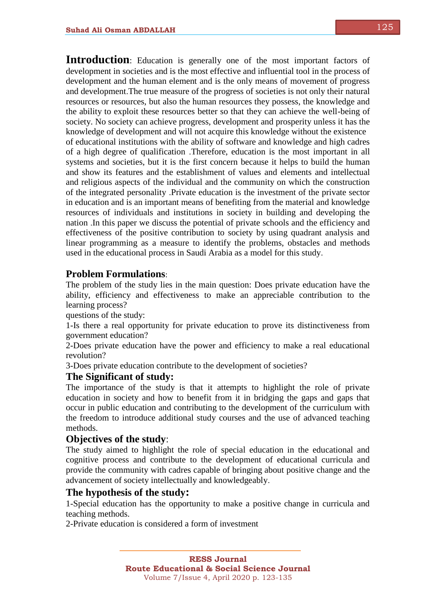125

**Introduction**: Education is generally one of the most important factors of development in societies and is the most effective and influential tool in the process of development and the human element and is the only means of movement of progress and development.The true measure of the progress of societies is not only their natural resources or resources, but also the human resources they possess, the knowledge and the ability to exploit these resources better so that they can achieve the well-being of society. No society can achieve progress, development and prosperity unless it has the knowledge of development and will not acquire this knowledge without the existence of educational institutions with the ability of software and knowledge and high cadres of a high degree of qualification .Therefore, education is the most important in all systems and societies, but it is the first concern because it helps to build the human and show its features and the establishment of values and elements and intellectual and religious aspects of the individual and the community on which the construction of the integrated personality .Private education is the investment of the private sector in education and is an important means of benefiting from the material and knowledge resources of individuals and institutions in society in building and developing the nation .In this paper we discuss the potential of private schools and the efficiency and effectiveness of the positive contribution to society by using quadrant analysis and linear programming as a measure to identify the problems, obstacles and methods used in the educational process in Saudi Arabia as a model for this study.

#### **Problem Formulations**:

The problem of the study lies in the main question: Does private education have the ability, efficiency and effectiveness to make an appreciable contribution to the learning process?

questions of the study:

1-Is there a real opportunity for private education to prove its distinctiveness from government education?

2-Does private education have the power and efficiency to make a real educational revolution?

3-Does private education contribute to the development of societies?

#### **The Significant of study:**

The importance of the study is that it attempts to highlight the role of private education in society and how to benefit from it in bridging the gaps and gaps that occur in public education and contributing to the development of the curriculum with the freedom to introduce additional study courses and the use of advanced teaching methods.

#### **Objectives of the study**:

The study aimed to highlight the role of special education in the educational and cognitive process and contribute to the development of educational curricula and provide the community with cadres capable of bringing about positive change and the advancement of society intellectually and knowledgeably.

#### **The hypothesis of the study:**

1-Special education has the opportunity to make a positive change in curricula and teaching methods.

2-Private education is considered a form of investment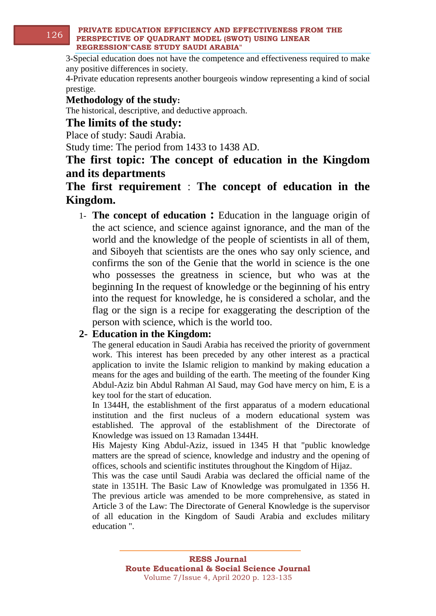#### **PRIVATE EDUCATION EFFICIENCY AND EFFECTIVENESS FROM THE PERSPECTIVE OF QUADRANT MODEL (SWOT) USING LINEAR REGRESSION"CASE STUDY SAUDI ARABIA"** 126

3-Special education does not have the competence and effectiveness required to make any positive differences in society.

4-Private education represents another bourgeois window representing a kind of social prestige.

**Methodology of the study:**

The historical, descriptive, and deductive approach.

### **The limits of the study:**

Place of study: Saudi Arabia.

Study time: The period from 1433 to 1438 AD.

## **The first topic: The concept of education in the Kingdom and its departments**

### **The first requirement** : **The concept of education in the Kingdom.**

1- **The concept of education :** Education in the language origin of the act science, and science against ignorance, and the man of the world and the knowledge of the people of scientists in all of them, and Siboyeh that scientists are the ones who say only science, and confirms the son of the Genie that the world in science is the one who possesses the greatness in science, but who was at the beginning In the request of knowledge or the beginning of his entry into the request for knowledge, he is considered a scholar, and the flag or the sign is a recipe for exaggerating the description of the person with science, which is the world too.

#### **2- Education in the Kingdom:**

The general education in Saudi Arabia has received the priority of government work. This interest has been preceded by any other interest as a practical application to invite the Islamic religion to mankind by making education a means for the ages and building of the earth. The meeting of the founder King Abdul-Aziz bin Abdul Rahman Al Saud, may God have mercy on him, E is a key tool for the start of education.

In 1344H, the establishment of the first apparatus of a modern educational institution and the first nucleus of a modern educational system was established. The approval of the establishment of the Directorate of Knowledge was issued on 13 Ramadan 1344H.

His Majesty King Abdul-Aziz, issued in 1345 H that "public knowledge matters are the spread of science, knowledge and industry and the opening of offices, schools and scientific institutes throughout the Kingdom of Hijaz.

This was the case until Saudi Arabia was declared the official name of the state in 1351H. The Basic Law of Knowledge was promulgated in 1356 H. The previous article was amended to be more comprehensive, as stated in Article 3 of the Law: The Directorate of General Knowledge is the supervisor of all education in the Kingdom of Saudi Arabia and excludes military education ".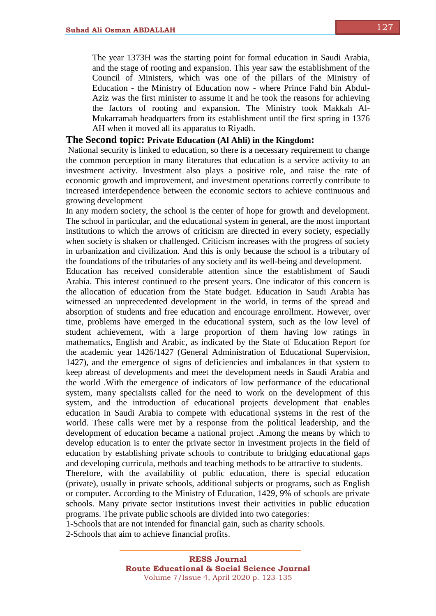The year 1373H was the starting point for formal education in Saudi Arabia, and the stage of rooting and expansion. This year saw the establishment of the Council of Ministers, which was one of the pillars of the Ministry of Education - the Ministry of Education now - where Prince Fahd bin Abdul-Aziz was the first minister to assume it and he took the reasons for achieving the factors of rooting and expansion. The Ministry took Makkah Al-Mukarramah headquarters from its establishment until the first spring in 1376 AH when it moved all its apparatus to Riyadh.

#### **The Second topic: Private Education (Al Ahli) in the Kingdom:**

National security is linked to education, so there is a necessary requirement to change the common perception in many literatures that education is a service activity to an investment activity. Investment also plays a positive role, and raise the rate of economic growth and improvement, and investment operations correctly contribute to increased interdependence between the economic sectors to achieve continuous and growing development

In any modern society, the school is the center of hope for growth and development. The school in particular, and the educational system in general, are the most important institutions to which the arrows of criticism are directed in every society, especially when society is shaken or challenged. Criticism increases with the progress of society in urbanization and civilization. And this is only because the school is a tributary of the foundations of the tributaries of any society and its well-being and development.

Education has received considerable attention since the establishment of Saudi Arabia. This interest continued to the present years. One indicator of this concern is the allocation of education from the State budget. Education in Saudi Arabia has witnessed an unprecedented development in the world, in terms of the spread and absorption of students and free education and encourage enrollment. However, over time, problems have emerged in the educational system, such as the low level of student achievement, with a large proportion of them having low ratings in mathematics, English and Arabic, as indicated by the State of Education Report for the academic year 1426/1427 (General Administration of Educational Supervision, 1427), and the emergence of signs of deficiencies and imbalances in that system to keep abreast of developments and meet the development needs in Saudi Arabia and the world .With the emergence of indicators of low performance of the educational system, many specialists called for the need to work on the development of this system, and the introduction of educational projects development that enables education in Saudi Arabia to compete with educational systems in the rest of the world. These calls were met by a response from the political leadership, and the development of education became a national project .Among the means by which to develop education is to enter the private sector in investment projects in the field of education by establishing private schools to contribute to bridging educational gaps and developing curricula, methods and teaching methods to be attractive to students. Therefore, with the availability of public education, there is special education (private), usually in private schools, additional subjects or programs, such as English or computer. According to the Ministry of Education, 1429, 9% of schools are private

schools. Many private sector institutions invest their activities in public education programs. The private public schools are divided into two categories:

1-Schools that are not intended for financial gain, such as charity schools.

2-Schools that aim to achieve financial profits.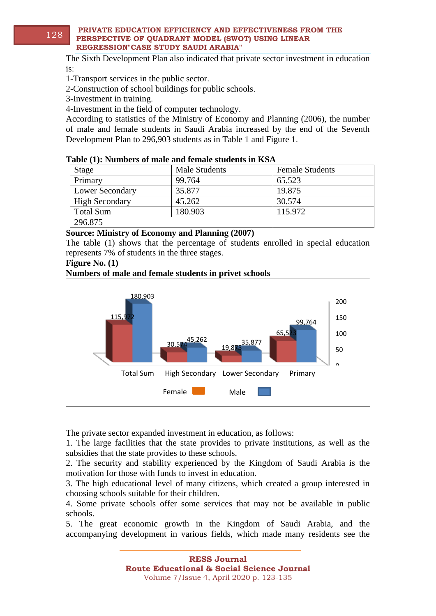#### **PRIVATE EDUCATION EFFICIENCY AND EFFECTIVENESS FROM THE PERSPECTIVE OF QUADRANT MODEL (SWOT) USING LINEAR REGRESSION"CASE STUDY SAUDI ARABIA"** 128

The Sixth Development Plan also indicated that private sector investment in education is:

1-Transport services in the public sector.

2-Construction of school buildings for public schools.

3-Investment in training.

4-Investment in the field of computer technology.

According to statistics of the Ministry of Economy and Planning (2006), the number of male and female students in Saudi Arabia increased by the end of the Seventh Development Plan to 296,903 students as in Table 1 and Figure 1.

#### **Table (1): Numbers of male and female students in KSA**

| Stage                  | <b>Male Students</b> | <b>Female Students</b> |
|------------------------|----------------------|------------------------|
| Primary                | 99.764               | 65.523                 |
| <b>Lower Secondary</b> | 35.877               | 19.875                 |
| <b>High Secondary</b>  | 45.262               | 30.574                 |
| <b>Total Sum</b>       | 180.903              | 115.972                |
| 296.875                |                      |                        |

#### **Source: Ministry of Economy and Planning (2007)**

The table (1) shows that the percentage of students enrolled in special education represents 7% of students in the three stages.

#### **Figure No. (1)**

#### **Numbers of male and female students in privet schools**



The private sector expanded investment in education, as follows:

1. The large facilities that the state provides to private institutions, as well as the subsidies that the state provides to these schools.

2. The security and stability experienced by the Kingdom of Saudi Arabia is the motivation for those with funds to invest in education.

3. The high educational level of many citizens, which created a group interested in choosing schools suitable for their children.

4. Some private schools offer some services that may not be available in public schools.

5. The great economic growth in the Kingdom of Saudi Arabia, and the accompanying development in various fields, which made many residents see the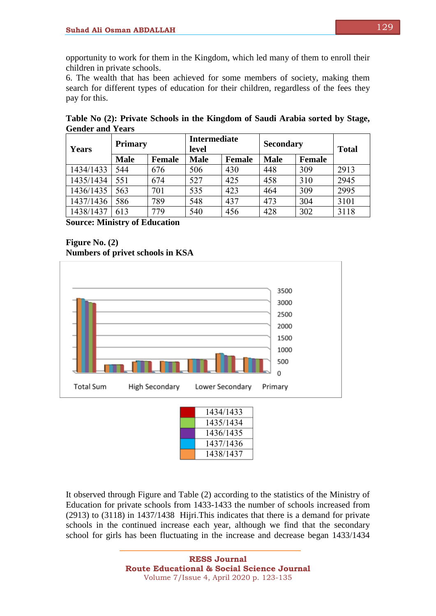opportunity to work for them in the Kingdom, which led many of them to enroll their children in private schools.

6. The wealth that has been achieved for some members of society, making them search for different types of education for their children, regardless of the fees they pay for this.

| Years     | <b>Primary</b> |               | <b>Intermediate</b><br>level |               | <b>Secondary</b> |               | <b>Total</b> |
|-----------|----------------|---------------|------------------------------|---------------|------------------|---------------|--------------|
|           | <b>Male</b>    | <b>Female</b> | <b>Male</b>                  | <b>Female</b> | <b>Male</b>      | <b>Female</b> |              |
| 1434/1433 | 544            | 676           | 506                          | 430           | 448              | 309           | 2913         |
| 1435/1434 | 551            | 674           | 527                          | 425           | 458              | 310           | 2945         |
| 1436/1435 | 563            | 701           | 535                          | 423           | 464              | 309           | 2995         |
| 1437/1436 | 586            | 789           | 548                          | 437           | 473              | 304           | 3101         |
| 1438/1437 | 613            | 779           | 540                          | 456           | 428              | 302           | 3118         |

**Table No (2): Private Schools in the Kingdom of Saudi Arabia sorted by Stage, Gender and Years**

**Source: Ministry of Education**





| 1434/1433 |
|-----------|
| 1435/1434 |
| 1436/1435 |
| 1437/1436 |
| 1438/1437 |

It observed through Figure and Table (2) according to the statistics of the Ministry of Education for private schools from 1433-1433 the number of schools increased from (2913) to (3118) in 1437/1438 Hijri.This indicates that there is a demand for private schools in the continued increase each year, although we find that the secondary school for girls has been fluctuating in the increase and decrease began 1433/1434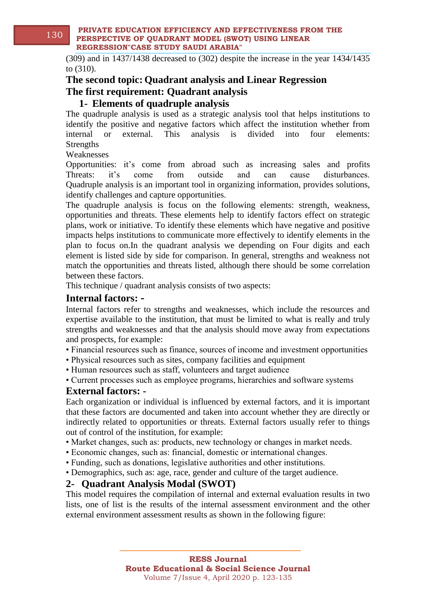(309) and in 1437/1438 decreased to (302) despite the increase in the year 1434/1435 to (310).

### **The second topic: Quadrant analysis and Linear Regression The first requirement: Quadrant analysis**

#### **1- Elements of quadruple analysis**

The quadruple analysis is used as a strategic analysis tool that helps institutions to identify the positive and negative factors which affect the institution whether from internal or external. This analysis is divided into four elements: **Strengths** 

Weaknesses

Opportunities: it's come from abroad such as increasing sales and profits Threats: it's come from outside and can cause disturbances. Quadruple analysis is an important tool in organizing information, provides solutions, identify challenges and capture opportunities.

The quadruple analysis is focus on the following elements: strength, weakness, opportunities and threats. These elements help to identify factors effect on strategic plans, work or initiative. To identify these elements which have negative and positive impacts helps institutions to communicate more effectively to identify elements in the plan to focus on.In the quadrant analysis we depending on Four digits and each element is listed side by side for comparison. In general, strengths and weakness not match the opportunities and threats listed, although there should be some correlation between these factors.

This technique / quadrant analysis consists of two aspects:

#### **Internal factors: -**

Internal factors refer to strengths and weaknesses, which include the resources and expertise available to the institution, that must be limited to what is really and truly strengths and weaknesses and that the analysis should move away from expectations and prospects, for example:

- Financial resources such as finance, sources of income and investment opportunities
- Physical resources such as sites, company facilities and equipment
- Human resources such as staff, volunteers and target audience
- Current processes such as employee programs, hierarchies and software systems

#### **External factors: -**

Each organization or individual is influenced by external factors, and it is important that these factors are documented and taken into account whether they are directly or indirectly related to opportunities or threats. External factors usually refer to things out of control of the institution, for example:

• Market changes, such as: products, new technology or changes in market needs.

- Economic changes, such as: financial, domestic or international changes.
- Funding, such as donations, legislative authorities and other institutions.
- Demographics, such as: age, race, gender and culture of the target audience.

#### **2- Quadrant Analysis Modal (SWOT)**

This model requires the compilation of internal and external evaluation results in two lists, one of list is the results of the internal assessment environment and the other external environment assessment results as shown in the following figure:

**Route Educational & Social Science Journal** Volume 7/Issue 4, April 2020 p. 123-135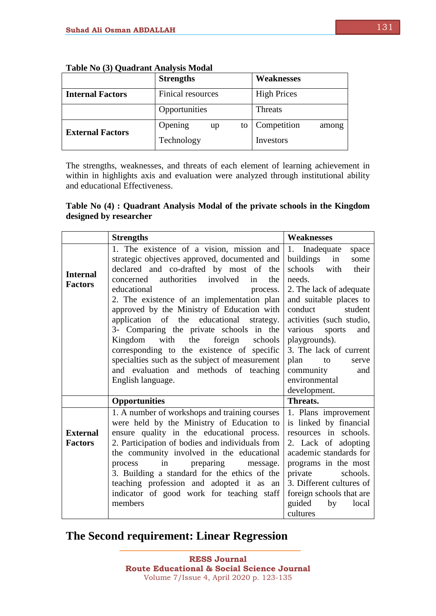|                         | <b>Strengths</b>    | <b>Weaknesses</b>    |
|-------------------------|---------------------|----------------------|
| <b>Internal Factors</b> | Finical resources   | <b>High Prices</b>   |
|                         | Opportunities       | Threats              |
| <b>External Factors</b> | Opening<br>to<br>up | Competition<br>among |
|                         | Technology          | Investors            |

|  | Table No (3) Quadrant Analysis Modal |  |
|--|--------------------------------------|--|
|  |                                      |  |

The strengths, weaknesses, and threats of each element of learning achievement in within in highlights axis and evaluation were analyzed through institutional ability and educational Effectiveness.

#### **Table No (4) : Quadrant Analysis Modal of the private schools in the Kingdom designed by researcher**

|                                   | <b>Strengths</b>                                                                                                                                                                | <b>Weaknesses</b>                                                                                    |
|-----------------------------------|---------------------------------------------------------------------------------------------------------------------------------------------------------------------------------|------------------------------------------------------------------------------------------------------|
|                                   | 1. The existence of a vision, mission and<br>strategic objectives approved, documented and<br>declared and co-drafted by most of the                                            | 1. Inadequate<br>space<br>buildings in<br>some<br>schools<br>with<br>their                           |
| <b>Internal</b><br><b>Factors</b> | concerned authorities<br>involved<br>the<br>in<br>educational<br>process.                                                                                                       | needs.<br>2. The lack of adequate                                                                    |
|                                   | 2. The existence of an implementation plan<br>approved by the Ministry of Education with<br>application of the educational strategy.<br>3- Comparing the private schools in the | and suitable places to<br>conduct<br>student<br>activities (such studio,<br>various<br>sports<br>and |
|                                   | with<br>Kingdom<br>the<br>foreign<br>schools<br>corresponding to the existence of specific                                                                                      | playgrounds).<br>3. The lack of current                                                              |
|                                   | specialties such as the subject of measurement<br>and evaluation and methods of teaching                                                                                        | plan<br>to<br>serve                                                                                  |
|                                   | English language.                                                                                                                                                               | community<br>and<br>environmental<br>development.                                                    |
|                                   | <b>Opportunities</b>                                                                                                                                                            | Threats.                                                                                             |
|                                   | 1. A number of workshops and training courses<br>were held by the Ministry of Education to                                                                                      | 1. Plans improvement<br>is linked by financial                                                       |
| <b>External</b>                   | ensure quality in the educational process.                                                                                                                                      | resources in schools.                                                                                |
| <b>Factors</b>                    | 2. Participation of bodies and individuals from                                                                                                                                 | 2. Lack of adopting                                                                                  |
|                                   | the community involved in the educational                                                                                                                                       | academic standards for                                                                               |
|                                   | in<br>preparing<br>process<br>message.                                                                                                                                          | programs in the most                                                                                 |
|                                   | 3. Building a standard for the ethics of the<br>teaching profession and adopted it as an                                                                                        | private<br>schools.<br>3. Different cultures of                                                      |
|                                   | indicator of good work for teaching staff                                                                                                                                       | foreign schools that are                                                                             |
|                                   | members                                                                                                                                                                         | guided<br>by<br>local                                                                                |
|                                   |                                                                                                                                                                                 | cultures                                                                                             |

## **The Second requirement: Linear Regression**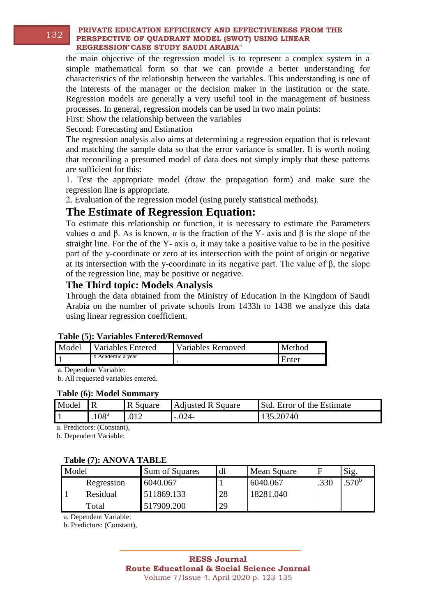#### **PRIVATE EDUCATION EFFICIENCY AND EFFECTIVENESS FROM THE PERSPECTIVE OF QUADRANT MODEL (SWOT) USING LINEAR REGRESSION"CASE STUDY SAUDI ARABIA"** 132

the main objective of the regression model is to represent a complex system in a simple mathematical form so that we can provide a better understanding for characteristics of the relationship between the variables. This understanding is one of the interests of the manager or the decision maker in the institution or the state. Regression models are generally a very useful tool in the management of business processes. In general, regression models can be used in two main points:

First: Show the relationship between the variables

Second: Forecasting and Estimation

The regression analysis also aims at determining a regression equation that is relevant and matching the sample data so that the error variance is smaller. It is worth noting that reconciling a presumed model of data does not simply imply that these patterns are sufficient for this:

1. Test the appropriate model (draw the propagation form) and make sure the regression line is appropriate.

2. Evaluation of the regression model (using purely statistical methods).

### **The Estimate of Regression Equation:**

To estimate this relationship or function, it is necessary to estimate the Parameters values α and β. As is known, α is the fraction of the Y- axis and β is the slope of the straight line. For the of the Y- axis  $\alpha$ , it may take a positive value to be in the positive part of the y-coordinate or zero at its intersection with the point of origin or negative at its intersection with the y-coordinate in its negative part. The value of  $\beta$ , the slope of the regression line, may be positive or negative.

#### **The Third topic: Models Analysis**

Through the data obtained from the Ministry of Education in the Kingdom of Saudi Arabia on the number of private schools from 1433h to 1438 we analyze this data using linear regression coefficient.

| Lable (3). Valiables Elitered/Kellioved |                         |                   |        |  |  |  |  |
|-----------------------------------------|-------------------------|-------------------|--------|--|--|--|--|
|                                         | Model Variables Entered | Variables Removed | Method |  |  |  |  |
|                                         | b Academic a year       |                   | Enter  |  |  |  |  |

## **Table (5): Variables Entered/Removed**

a. Dependent Variable:

b. All requested variables entered.

#### **Table (6): Model Summary**

| Model |                  | R Square | <b>Adjusted R Square</b> | <b>Std.</b> Error of the Estimate |
|-------|------------------|----------|--------------------------|-----------------------------------|
|       | 108 <sup>a</sup> |          | $-.024-$                 | 135.20740                         |

a. Predictors: (Constant),

b. Dependent Variable:

#### **Table (7): ANOVA TABLE**

| Model |            | Sum of Squares | df | Mean Square |      | Sig.              |
|-------|------------|----------------|----|-------------|------|-------------------|
|       | Regression | 6040.067       |    | 6040.067    | .330 | .570 <sup>b</sup> |
|       | Residual   | 511869.133     | 28 | 18281.040   |      |                   |
|       | Total      | 517909.200     | 29 |             |      |                   |

a. Dependent Variable:

b. Predictors: (Constant),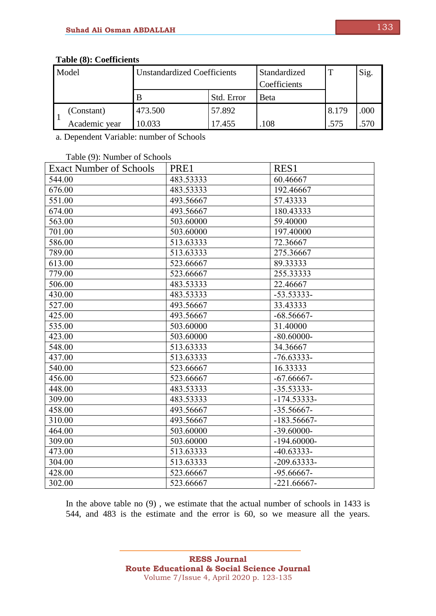| Model |               | <b>Unstandardized Coefficients</b> |            | Standardized<br>Coefficients | m     | Sig. |
|-------|---------------|------------------------------------|------------|------------------------------|-------|------|
|       |               |                                    | Std. Error | <b>B</b> eta                 |       |      |
|       | (Constant)    | 473.500                            | 57.892     |                              | 8.179 | .000 |
|       | Academic year | 10.033                             | 17.455     | 108                          | .575  |      |

#### **Table (8): Coefficients**

a. Dependent Variable: number of Schools

#### Table (9): Number of Schools

| $1400 \left($ , $\right)$ , $14400 \left($ , $\right)$ , $0.600$<br><b>Exact Number of Schools</b> | PRE1      | RES <sub>1</sub> |
|----------------------------------------------------------------------------------------------------|-----------|------------------|
| 544.00                                                                                             | 483.53333 | 60.46667         |
| 676.00                                                                                             | 483.53333 | 192.46667        |
| 551.00                                                                                             | 493.56667 | 57.43333         |
| 674.00                                                                                             | 493.56667 | 180.43333        |
| 563.00                                                                                             | 503.60000 | 59.40000         |
| 701.00                                                                                             | 503.60000 | 197.40000        |
| 586.00                                                                                             | 513.63333 | 72.36667         |
| 789.00                                                                                             | 513.63333 | 275.36667        |
| 613.00                                                                                             | 523.66667 | 89.33333         |
| 779.00                                                                                             | 523.66667 | 255.33333        |
| 506.00                                                                                             | 483.53333 | 22.46667         |
| 430.00                                                                                             | 483.53333 | $-53.53333-$     |
| 527.00                                                                                             | 493.56667 | 33.43333         |
| 425.00                                                                                             | 493.56667 | $-68.56667-$     |
| 535.00                                                                                             | 503.60000 | 31.40000         |
| 423.00                                                                                             | 503.60000 | $-80.60000-$     |
| 548.00                                                                                             | 513.63333 | 34.36667         |
| 437.00                                                                                             | 513.63333 | $-76.63333-$     |
| 540.00                                                                                             | 523.66667 | 16.33333         |
| 456.00                                                                                             | 523.66667 | $-67.66667-$     |
| 448.00                                                                                             | 483.53333 | $-35.53333-$     |
| 309.00                                                                                             | 483.53333 | $-174.53333-$    |
| 458.00                                                                                             | 493.56667 | $-35.56667-$     |
| 310.00                                                                                             | 493.56667 | $-183.56667-$    |
| 464.00                                                                                             | 503.60000 | $-39.60000-$     |
| 309.00                                                                                             | 503.60000 | $-194.60000-$    |
| 473.00                                                                                             | 513.63333 | $-40.63333-$     |
| 304.00                                                                                             | 513.63333 | $-209.63333-$    |
| 428.00                                                                                             | 523.66667 | $-95.66667-$     |
| 302.00                                                                                             | 523.66667 | $-221.66667-$    |

In the above table no (9) , we estimate that the actual number of schools in 1433 is 544, and 483 is the estimate and the error is 60, so we measure all the years.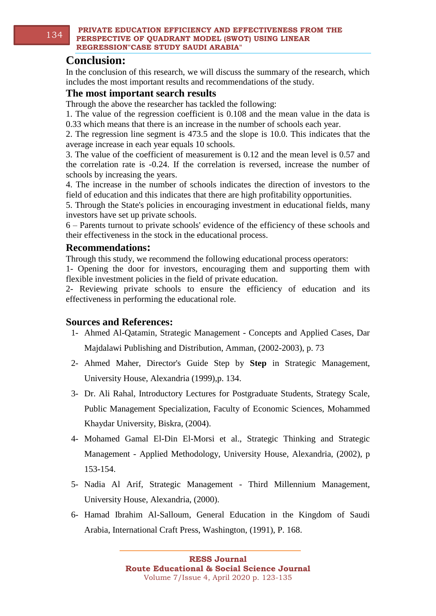### **Conclusion:**

In the conclusion of this research, we will discuss the summary of the research, which includes the most important results and recommendations of the study.

#### **The most important search results**

Through the above the researcher has tackled the following:

1. The value of the regression coefficient is 0.108 and the mean value in the data is 0.33 which means that there is an increase in the number of schools each year.

2. The regression line segment is 473.5 and the slope is 10.0. This indicates that the average increase in each year equals 10 schools.

3. The value of the coefficient of measurement is 0.12 and the mean level is 0.57 and the correlation rate is -0.24. If the correlation is reversed, increase the number of schools by increasing the years.

4. The increase in the number of schools indicates the direction of investors to the field of education and this indicates that there are high profitability opportunities.

5. Through the State's policies in encouraging investment in educational fields, many investors have set up private schools.

6 – Parents turnout to private schools' evidence of the efficiency of these schools and their effectiveness in the stock in the educational process.

#### **Recommendations:**

Through this study, we recommend the following educational process operators:

1- Opening the door for investors, encouraging them and supporting them with flexible investment policies in the field of private education.

2- Reviewing private schools to ensure the efficiency of education and its effectiveness in performing the educational role.

#### **Sources and References:**

- 1- Ahmed Al-Qatamin, Strategic Management Concepts and Applied Cases, Dar Majdalawi Publishing and Distribution, Amman, (2002-2003), p. 73
- 2- Ahmed Maher, Director's Guide Step by **Step** in Strategic Management, University House, Alexandria (1999),p. 134.
- 3- Dr. Ali Rahal, Introductory Lectures for Postgraduate Students, Strategy Scale, Public Management Specialization, Faculty of Economic Sciences, Mohammed Khaydar University, Biskra, (2004).
- 4- Mohamed Gamal El-Din El-Morsi et al., Strategic Thinking and Strategic Management - Applied Methodology, University House, Alexandria, (2002), p 153-154.
- 5- Nadia Al Arif, Strategic Management Third Millennium Management, University House, Alexandria, (2000).
- 6- Hamad Ibrahim Al-Salloum, General Education in the Kingdom of Saudi Arabia, International Craft Press, Washington, (1991), P. 168.